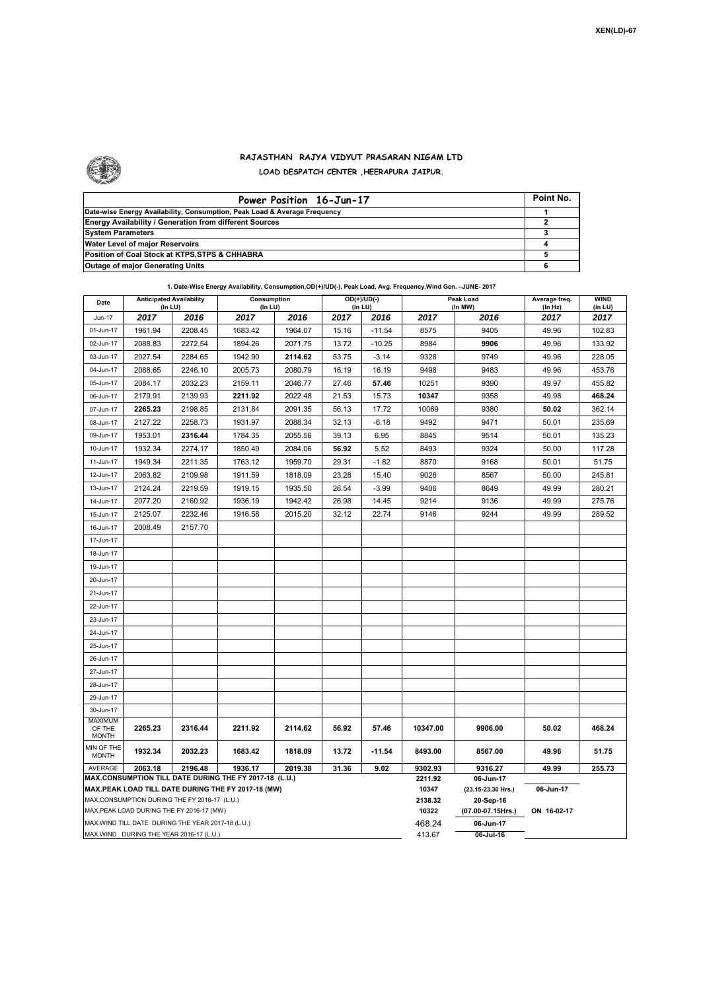

## **RAJASTHAN RAJYA VIDYUT PRASARAN NIGAM LTD LOAD DESPATCH CENTER ,HEERAPURA JAIPUR.**

| Power Position 16-Jun-17                                                  | Point No. |
|---------------------------------------------------------------------------|-----------|
| Date-wise Energy Availability, Consumption, Peak Load & Average Frequency |           |
| <b>Energy Availability / Generation from different Sources</b>            |           |
| <b>System Parameters</b>                                                  |           |
| Water Level of major Reservoirs                                           |           |
| Position of Coal Stock at KTPS, STPS & CHHABRA                            |           |
| <b>Outage of major Generating Units</b>                                   |           |

## **1. Date-Wise Energy Availability, Consumption,OD(+)/UD(-), Peak Load, Avg. Frequency,Wind Gen. –JUNE- 2017**

| Date                                                                                               |                                                   | <b>Anticipated Availability</b><br>Consumption<br>(In LU)<br>(In LU) |         | OD(+)/UD(-)<br>(In LU) |       | Peak Load<br>(In MW) |                    | Average freq.<br>(In Hz)        | WIND<br>(in LU) |        |
|----------------------------------------------------------------------------------------------------|---------------------------------------------------|----------------------------------------------------------------------|---------|------------------------|-------|----------------------|--------------------|---------------------------------|-----------------|--------|
| Jun-17                                                                                             | 2017                                              | 2016                                                                 | 2017    | 2016                   | 2017  | 2016                 | 2017               | 2016                            | 2017            | 2017   |
| 01-Jun-17                                                                                          | 1961.94                                           | 2208.45                                                              | 1683.42 | 1964.07                | 15.16 | $-11.54$             | 8575               | 9405                            | 49.96           | 102.83 |
| 02-Jun-17                                                                                          | 2088.83                                           | 2272.54                                                              | 1894.26 | 2071.75                | 13.72 | $-10.25$             | 8984               | 9906                            | 49.96           | 133.92 |
| 03-Jun-17                                                                                          | 2027.54                                           | 2284.65                                                              | 1942.90 | 2114.62                | 53.75 | $-3.14$              | 9328               | 9749                            | 49.96           | 228.05 |
| 04-Jun-17                                                                                          | 2088.65                                           | 2246.10                                                              | 2005.73 | 2080.79                | 16.19 | 16.19                | 9498               | 9483                            | 49.96           | 453.76 |
| 05-Jun-17                                                                                          | 2084.17                                           | 2032.23                                                              | 2159.11 | 2046.77                | 27.46 | 57.46                | 10251              | 9390                            | 49.97           | 455.82 |
| 06-Jun-17                                                                                          | 2179.91                                           | 2139.93                                                              | 2211.92 | 2022.48                | 21.53 | 15.73                | 10347              | 9358                            | 49.98           | 468.24 |
| 07-Jun-17                                                                                          | 2265.23                                           | 2198.85                                                              | 2131.84 | 2091.35                | 56.13 | 17.72                | 10069              | 9380                            | 50.02           | 362.14 |
| 08-Jun-17                                                                                          | 2127.22                                           | 2258.73                                                              | 1931.97 | 2088.34                | 32.13 | $-6.18$              | 9492               | 9471                            | 50.01           | 235.69 |
| 09-Jun-17                                                                                          | 1953.01                                           | 2316.44                                                              | 1784.35 | 2055.56                | 39.13 | 6.95                 | 8845               | 9514                            | 50.01           | 135.23 |
| 10-Jun-17                                                                                          | 1932.34                                           | 2274.17                                                              | 1850.49 | 2084.06                | 56.92 | 5.52                 | 8493               | 9324                            | 50.00           | 117.28 |
| 11-Jun-17                                                                                          | 1949.34                                           | 2211.35                                                              | 1763.12 | 1959.70                | 29.31 | $-1.82$              | 8870               | 9168                            | 50.01           | 51.75  |
| 12-Jun-17                                                                                          | 2063.82                                           | 2109.98                                                              | 1911.59 | 1818.09                | 23.28 | 15.40                | 9026               | 8567                            | 50.00           | 245.81 |
| 13-Jun-17                                                                                          | 2124.24                                           | 2219.59                                                              | 1919.15 | 1935.50                | 26.54 | $-3.99$              | 9406               | 8649                            | 49.99           | 280.21 |
| 14-Jun-17                                                                                          | 2077.20                                           | 2160.92                                                              | 1936.19 | 1942.42                | 26.98 | 14.45                | 9214               | 9136                            | 49.99           | 275.76 |
| 15-Jun-17                                                                                          | 2125.07                                           | 2232.46                                                              | 1916.58 | 2015.20                | 32.12 | 22.74                | 9146               | 9244                            | 49.99           | 289.52 |
| 16-Jun-17                                                                                          | 2008.49                                           | 2157.70                                                              |         |                        |       |                      |                    |                                 |                 |        |
| 17-Jun-17                                                                                          |                                                   |                                                                      |         |                        |       |                      |                    |                                 |                 |        |
| 18-Jun-17                                                                                          |                                                   |                                                                      |         |                        |       |                      |                    |                                 |                 |        |
| 19-Jun-17                                                                                          |                                                   |                                                                      |         |                        |       |                      |                    |                                 |                 |        |
| 20-Jun-17                                                                                          |                                                   |                                                                      |         |                        |       |                      |                    |                                 |                 |        |
| 21-Jun-17                                                                                          |                                                   |                                                                      |         |                        |       |                      |                    |                                 |                 |        |
| 22-Jun-17                                                                                          |                                                   |                                                                      |         |                        |       |                      |                    |                                 |                 |        |
| 23-Jun-17                                                                                          |                                                   |                                                                      |         |                        |       |                      |                    |                                 |                 |        |
| 24-Jun-17                                                                                          |                                                   |                                                                      |         |                        |       |                      |                    |                                 |                 |        |
| 25-Jun-17                                                                                          |                                                   |                                                                      |         |                        |       |                      |                    |                                 |                 |        |
| 26-Jun-17                                                                                          |                                                   |                                                                      |         |                        |       |                      |                    |                                 |                 |        |
| 27-Jun-17                                                                                          |                                                   |                                                                      |         |                        |       |                      |                    |                                 |                 |        |
| 28-Jun-17                                                                                          |                                                   |                                                                      |         |                        |       |                      |                    |                                 |                 |        |
| 29-Jun-17                                                                                          |                                                   |                                                                      |         |                        |       |                      |                    |                                 |                 |        |
| 30-Jun-17                                                                                          |                                                   |                                                                      |         |                        |       |                      |                    |                                 |                 |        |
| <b>MAXIMUM</b><br>OF THE                                                                           | 2265.23                                           | 2316.44                                                              | 2211.92 | 2114.62                | 56.92 | 57.46                | 10347.00           | 9906.00                         | 50.02           | 468.24 |
| <b>MONTH</b>                                                                                       |                                                   |                                                                      |         |                        |       |                      |                    |                                 |                 |        |
| MIN OF THE<br><b>MONTH</b>                                                                         | 1932.34                                           | 2032.23                                                              | 1683.42 | 1818.09                | 13.72 | $-11.54$             | 8493.00            | 8567.00                         | 49.96           | 51.75  |
| AVERAGE                                                                                            | 2063.18                                           | 2196.48                                                              | 1936.17 | 2019.38                | 31.36 | 9.02                 | 9302.93<br>2211.92 | 9316.27                         | 49.99           | 255.73 |
| MAX.CONSUMPTION TILL DATE DURING THE FY 2017-18 (L.U.)                                             |                                                   |                                                                      |         |                        |       |                      |                    | 06-Jun-17                       |                 |        |
| MAX.PEAK LOAD TILL DATE DURING THE FY 2017-18 (MW)<br>MAX.CONSUMPTION DURING THE FY 2016-17 (L.U.) |                                                   |                                                                      |         |                        |       |                      | 10347<br>2138.32   | (23.15-23.30 Hrs.)<br>20-Sep-16 | 06-Jun-17       |        |
| MAX.PEAK LOAD DURING THE FY 2016-17 (MW)                                                           |                                                   |                                                                      |         |                        |       | 10322                | (07.00-07.15Hrs.)  | ON 16-02-17                     |                 |        |
|                                                                                                    | MAX.WIND TILL DATE DURING THE YEAR 2017-18 (L.U.) |                                                                      |         |                        |       |                      | 468.24             | 06-Jun-17                       |                 |        |
| MAX.WIND DURING THE YEAR 2016-17 (L.U.)                                                            |                                                   |                                                                      |         |                        |       |                      | 413.67             | $06$ -Jul-16                    |                 |        |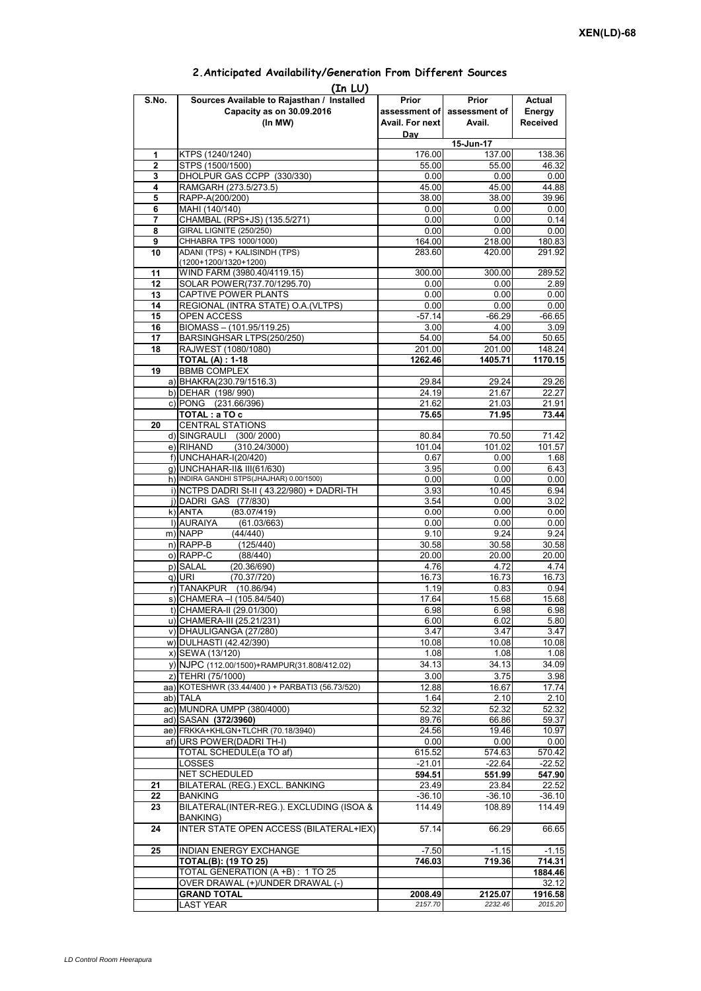|                | (In LU)                                              |                 |                             |                 |
|----------------|------------------------------------------------------|-----------------|-----------------------------|-----------------|
| S.No.          | Sources Available to Rajasthan / Installed           | Prior           | Prior                       | Actual          |
|                | Capacity as on 30.09.2016                            |                 | assessment of assessment of | Energy          |
|                | (In MW)                                              | Avail. For next | Avail.                      | <b>Received</b> |
|                |                                                      | Day             |                             |                 |
|                |                                                      |                 | 15-Jun-17                   |                 |
| 1              | KTPS (1240/1240)                                     | 176.00          | 137.00                      | 138.36          |
| $\overline{2}$ | STPS (1500/1500)                                     | 55.00           | 55.00                       | 46.32           |
| 3              | DHOLPUR GAS CCPP (330/330)                           | 0.00            | 0.00                        | 0.00            |
| 4              | RAMGARH (273.5/273.5)                                | 45.00           | 45.00                       | 44.88           |
| 5              | RAPP-A(200/200)                                      | 38.00           | 38.00                       | 39.96           |
| 6              | MAHI (140/140)                                       | 0.00            | 0.00                        | 0.00            |
| 7              | CHAMBAL (RPS+JS) (135.5/271)                         | 0.00            | 0.00                        | 0.14            |
| 8              | <b>GIRAL LIGNITE (250/250)</b>                       | 0.00            | 0.00                        | 0.00            |
| 9              | CHHABRA TPS 1000/1000)                               | 164.00          | 218.00                      | 180.83          |
| 10             | ADANI (TPS) + KALISINDH (TPS)                        | 283.60          | 420.00                      | 291.92          |
| 11             | (1200+1200/1320+1200)<br>WIND FARM (3980.40/4119.15) | 300.00          | 300.00                      | 289.52          |
| 12             | SOLAR POWER(737.70/1295.70)                          | 0.00            | 0.00                        | 2.89            |
| 13             | CAPTIVE POWER PLANTS                                 |                 | 0.00                        | 0.00            |
| 14             | REGIONAL (INTRA STATE) O.A. (VLTPS)                  | 0.00<br>0.00    | 0.00                        | 0.00            |
| 15             | OPEN ACCESS                                          | $-57.14$        | $-66.29$                    | $-66.65$        |
| 16             | BIOMASS - (101.95/119.25)                            |                 |                             |                 |
| 17             | BARSINGHSAR LTPS(250/250)                            | 3.00<br>54.00   | 4.00<br>54.00               | 3.09<br>50.65   |
| 18             | RAJWEST (1080/1080)                                  | 201.00          | 201.00                      | 148.24          |
|                | <b>TOTAL (A): 1-18</b>                               | 1262.46         | 1405.71                     | 1170.15         |
| 19             | <b>BBMB COMPLEX</b>                                  |                 |                             |                 |
|                | a) BHAKRA(230.79/1516.3)                             | 29.84           | 29.24                       | 29.26           |
|                | b) DEHAR (198/990)                                   | 24.19           | 21.67                       | 22.27           |
|                | c) PONG (231.66/396)                                 | 21.62           | 21.03                       | 21.91           |
|                | TOTAL: a TO c                                        | 75.65           | 71.95                       | 73.44           |
| 20             | <b>CENTRAL STATIONS</b>                              |                 |                             |                 |
|                | d) SINGRAULI (300/2000)                              | 80.84           | 70.50                       | 71.42           |
|                | e) RIHAND<br>(310.24/3000)                           | 101.04          | 101.02                      | 101.57          |
|                | f) UNCHAHAR-I(20/420)                                | 0.67            | 0.00                        | 1.68            |
|                | g) UNCHAHAR-II& III(61/630)                          | 3.95            | 0.00                        | 6.43            |
|                | h) INDIRA GANDHI STPS(JHAJHAR) 0.00/1500)            | 0.00            | 0.00                        | 0.00            |
|                | i) NCTPS DADRI St-II (43.22/980) + DADRI-TH          | 3.93            | 10.45                       | 6.94            |
|                | j) DADRI GAS (77/830)                                | 3.54            | 0.00                        | 3.02            |
|                | $k)$ ANTA<br>(83.07/419)                             | 0.00            | 0.00                        | 0.00            |
|                | I) AURAIYA<br>(61.03/663)                            | 0.00            | 0.00                        | 0.00            |
|                | m) NAPP<br>(44/440)                                  | 9.10            | 9.24                        | 9.24            |
|                | $n)$ RAPP-B<br>(125/440)                             | 30.58           | 30.58                       | 30.58           |
|                | o) RAPP-C<br>(88/440)                                | 20.00           | 20.00                       | 20.00           |
|                | p) SALAL<br>(20.36/690)                              | 4.76            | 4.72                        | 4.74            |
|                | q) URI<br>(70.37/720)                                | 16.73           | 16.73                       | 16.73           |
|                | r) TANAKPUR (10.86/94)                               | 1.19            | 0.83                        | 0.94            |
|                | s) CHAMERA - (105.84/540)                            | 17.64           | 15.68                       | 15.68           |
|                | t) CHAMERA-II (29.01/300)                            | 6.98            | 6.98                        | 6.98            |
|                | u) CHAMERA-III (25.21/231)                           | 6.00            | 6.02                        | 5.80            |
|                | v) DHAULIGANGA (27/280)                              | 3.47            | 3.47                        | 3.47            |
|                | w) DULHASTI (42.42/390)                              | 10.08           | 10.08                       | 10.08           |
|                | x) SEWA (13/120)                                     | 1.08            | 1.08                        | 1.08            |
|                | y) NJPC (112.00/1500) + RAMPUR(31.808/412.02)        | 34.13           | 34.13                       | 34.09           |
|                | z) TEHRI (75/1000)                                   | 3.00            | 3.75                        | 3.98            |
|                | aa) KOTESHWR (33.44/400) + PARBATI3 (56.73/520)      | 12.88           | 16.67                       | 17.74           |
|                | ab) TALA                                             | 1.64            | 2.10                        | 2.10            |
|                | ac) MUNDRA UMPP (380/4000)                           | 52.32           | 52.32                       | 52.32           |
|                | ad) SASAN (372/3960)                                 | 89.76           | 66.86                       | 59.37           |
|                | ae) FRKKA+KHLGN+TLCHR (70.18/3940)                   | 24.56           | 19.46                       | 10.97           |
|                | af) URS POWER(DADRI TH-I)                            | 0.00            | 0.00                        | 0.00            |
|                | TOTAL SCHEDULE(a TO af)                              | 615.52          | 574.63                      | 570.42          |
|                | LOSSES                                               | $-21.01$        | $-22.64$                    | $-22.52$        |
|                | NET SCHEDULED                                        | 594.51          | 551.99                      | 547.90          |
| 21             | BILATERAL (REG.) EXCL. BANKING                       | 23.49           | 23.84                       | 22.52           |
| 22             | <b>BANKING</b>                                       | $-36.10$        | $-36.10$                    | $-36.10$        |
| 23             | BILATERAL(INTER-REG.). EXCLUDING (ISOA &             | 114.49          | 108.89                      | 114.49          |
|                | BANKING)                                             |                 |                             |                 |
| 24             | INTER STATE OPEN ACCESS (BILATERAL+IEX)              | 57.14           | 66.29                       | 66.65           |
|                |                                                      |                 |                             |                 |
| 25             | INDIAN ENERGY EXCHANGE                               | -7.50           | $-1.15$                     | $-1.15$         |
|                | <b>TOTAL(B): (19 TO 25)</b>                          | 746.03          | 719.36                      | 714.31          |
|                | TOTAL GENERATION (A +B) : 1 TO 25                    |                 |                             | 1884.46         |
|                | OVER DRAWAL (+)/UNDER DRAWAL (-)                     |                 |                             | 32.12           |
|                | <b>GRAND TOTAL</b>                                   | 2008.49         | 2125.07                     | 1916.58         |
|                | <b>LAST YEAR</b>                                     | 2157.70         | 2232.46                     | 2015.20         |

## **2.Anticipated Availability/Generation From Different Sources**